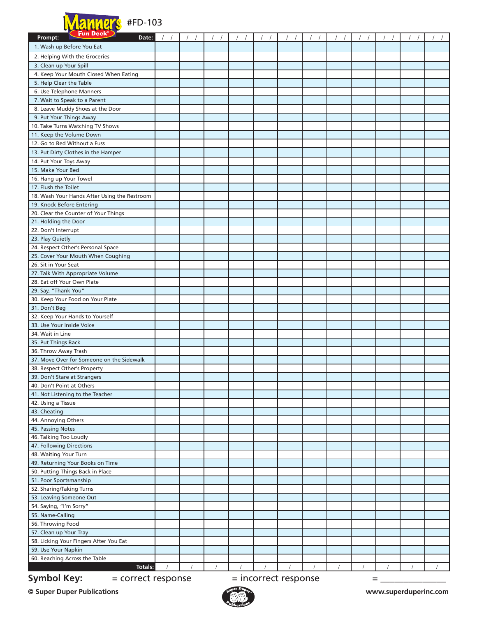

| Fun Deck <sup>®</sup><br>Prompt:<br>Date:               |  |          |                        |  |   |  |  |
|---------------------------------------------------------|--|----------|------------------------|--|---|--|--|
| 1. Wash up Before You Eat                               |  |          |                        |  |   |  |  |
|                                                         |  |          |                        |  |   |  |  |
| 2. Helping With the Groceries<br>3. Clean up Your Spill |  |          |                        |  |   |  |  |
| 4. Keep Your Mouth Closed When Eating                   |  |          |                        |  |   |  |  |
| 5. Help Clear the Table                                 |  |          |                        |  |   |  |  |
| 6. Use Telephone Manners                                |  |          |                        |  |   |  |  |
| 7. Wait to Speak to a Parent                            |  |          |                        |  |   |  |  |
| 8. Leave Muddy Shoes at the Door                        |  |          |                        |  |   |  |  |
| 9. Put Your Things Away                                 |  |          |                        |  |   |  |  |
| 10. Take Turns Watching TV Shows                        |  |          |                        |  |   |  |  |
| 11. Keep the Volume Down                                |  |          |                        |  |   |  |  |
| 12. Go to Bed Without a Fuss                            |  |          |                        |  |   |  |  |
| 13. Put Dirty Clothes in the Hamper                     |  |          |                        |  |   |  |  |
| 14. Put Your Toys Away                                  |  |          |                        |  |   |  |  |
| 15. Make Your Bed                                       |  |          |                        |  |   |  |  |
| 16. Hang up Your Towel                                  |  |          |                        |  |   |  |  |
| 17. Flush the Toilet                                    |  |          |                        |  |   |  |  |
| 18. Wash Your Hands After Using the Restroom            |  |          |                        |  |   |  |  |
| 19. Knock Before Entering                               |  |          |                        |  |   |  |  |
| 20. Clear the Counter of Your Things                    |  |          |                        |  |   |  |  |
| 21. Holding the Door                                    |  |          |                        |  |   |  |  |
| 22. Don't Interrupt                                     |  |          |                        |  |   |  |  |
| 23. Play Quietly                                        |  |          |                        |  |   |  |  |
| 24. Respect Other's Personal Space                      |  |          |                        |  |   |  |  |
| 25. Cover Your Mouth When Coughing                      |  |          |                        |  |   |  |  |
| 26. Sit in Your Seat                                    |  |          |                        |  |   |  |  |
| 27. Talk With Appropriate Volume                        |  |          |                        |  |   |  |  |
| 28. Eat off Your Own Plate                              |  |          |                        |  |   |  |  |
| 29. Say, "Thank You"                                    |  |          |                        |  |   |  |  |
| 30. Keep Your Food on Your Plate                        |  |          |                        |  |   |  |  |
| 31. Don't Beg                                           |  |          |                        |  |   |  |  |
| 32. Keep Your Hands to Yourself                         |  |          |                        |  |   |  |  |
| 33. Use Your Inside Voice                               |  |          |                        |  |   |  |  |
| 34. Wait in Line                                        |  |          |                        |  |   |  |  |
| 35. Put Things Back                                     |  |          |                        |  |   |  |  |
| 36. Throw Away Trash                                    |  |          |                        |  |   |  |  |
| 37. Move Over for Someone on the Sidewalk               |  |          |                        |  |   |  |  |
| 38. Respect Other's Property                            |  |          |                        |  |   |  |  |
| 39. Don't Stare at Strangers                            |  |          |                        |  |   |  |  |
| 40. Don't Point at Others                               |  |          |                        |  |   |  |  |
| 41. Not Listening to the Teacher                        |  |          |                        |  |   |  |  |
| 42. Using a Tissue<br>43. Cheating                      |  |          |                        |  |   |  |  |
| 44. Annoying Others                                     |  |          |                        |  |   |  |  |
| 45. Passing Notes                                       |  |          |                        |  |   |  |  |
| 46. Talking Too Loudly                                  |  |          |                        |  |   |  |  |
| 47. Following Directions                                |  |          |                        |  |   |  |  |
| 48. Waiting Your Turn                                   |  |          |                        |  |   |  |  |
| 49. Returning Your Books on Time                        |  |          |                        |  |   |  |  |
| 50. Putting Things Back in Place                        |  |          |                        |  |   |  |  |
| 51. Poor Sportsmanship                                  |  |          |                        |  |   |  |  |
| 52. Sharing/Taking Turns                                |  |          |                        |  |   |  |  |
| 53. Leaving Someone Out                                 |  |          |                        |  |   |  |  |
| 54. Saying, "I'm Sorry"                                 |  |          |                        |  |   |  |  |
| 55. Name-Calling                                        |  |          |                        |  |   |  |  |
| 56. Throwing Food                                       |  |          |                        |  |   |  |  |
| 57. Clean up Your Tray                                  |  |          |                        |  |   |  |  |
| 58. Licking Your Fingers After You Eat                  |  |          |                        |  |   |  |  |
| 59. Use Your Napkin                                     |  |          |                        |  |   |  |  |
| 60. Reaching Across the Table                           |  |          |                        |  |   |  |  |
| <b>Totals:</b>                                          |  | $\prime$ |                        |  |   |  |  |
| <b>Symbol Key:</b><br>= correct response                |  |          | $=$ incorrect response |  | = |  |  |

**© Super Duper Publications www.superduperinc.com**